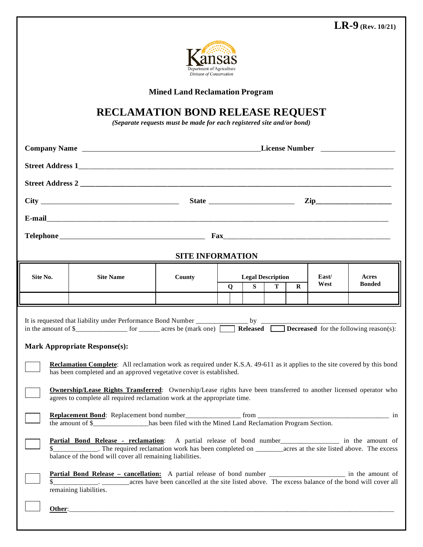**LR-9 (Rev. 10/21)**



**Mined Land Reclamation Program**

## **RECLAMATION BOND RELEASE REQUEST**

*(Separate requests must be made for each registered site and/or bond)*

|                                                                                                                                                                                                                                                                                                                                                                                                                                                                                                                                                                                                                                                                                                                                                                                                                                                                                   |                  |        |   | $\mathbf{Zip}\_$ |                          |             |       |               |  |  |
|-----------------------------------------------------------------------------------------------------------------------------------------------------------------------------------------------------------------------------------------------------------------------------------------------------------------------------------------------------------------------------------------------------------------------------------------------------------------------------------------------------------------------------------------------------------------------------------------------------------------------------------------------------------------------------------------------------------------------------------------------------------------------------------------------------------------------------------------------------------------------------------|------------------|--------|---|------------------|--------------------------|-------------|-------|---------------|--|--|
|                                                                                                                                                                                                                                                                                                                                                                                                                                                                                                                                                                                                                                                                                                                                                                                                                                                                                   |                  |        |   |                  |                          |             |       |               |  |  |
|                                                                                                                                                                                                                                                                                                                                                                                                                                                                                                                                                                                                                                                                                                                                                                                                                                                                                   |                  |        |   |                  |                          |             |       |               |  |  |
| <b>SITE INFORMATION</b>                                                                                                                                                                                                                                                                                                                                                                                                                                                                                                                                                                                                                                                                                                                                                                                                                                                           |                  |        |   |                  |                          |             |       |               |  |  |
| Site No.                                                                                                                                                                                                                                                                                                                                                                                                                                                                                                                                                                                                                                                                                                                                                                                                                                                                          | <b>Site Name</b> | County |   |                  | <b>Legal Description</b> |             | East/ | Acres         |  |  |
|                                                                                                                                                                                                                                                                                                                                                                                                                                                                                                                                                                                                                                                                                                                                                                                                                                                                                   |                  |        | Q | S                | T                        | $\mathbf R$ | West  | <b>Bonded</b> |  |  |
| <b>Mark Appropriate Response(s):</b><br><b>Reclamation Complete:</b> All reclamation work as required under K.S.A. 49-611 as it applies to the site covered by this bond<br>has been completed and an approved vegetative cover is established.<br><b>Ownership/Lease Rights Transferred:</b> Ownership/Lease rights have been transferred to another licensed operator who<br>agrees to complete all required reclamation work at the appropriate time.<br>the amount of \$_______________has been filed with the Mined Land Reclamation Program Section.<br>Partial Bond Release - reclamation: A partial release of bond number____________ in the amount of<br>balance of the bond will cover all remaining liabilities.<br>Partial Bond Release - cancellation: A partial release of bond number _________________ in the amount of<br>remaining liabilities.<br>Other: $\_$ |                  |        |   |                  |                          |             |       |               |  |  |